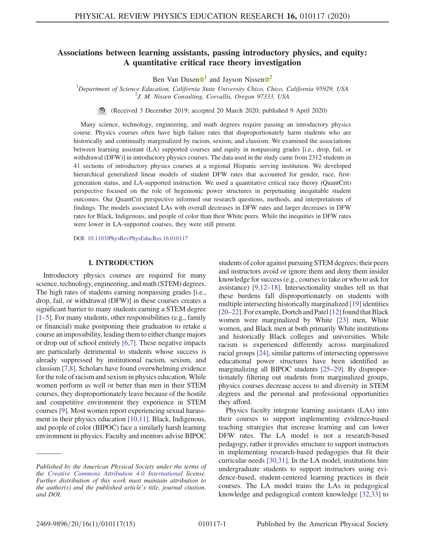# Associations between learning assistants, passing introductory physics, and equity: A quantitative critical race theory investigation

Ben Van Dusen  $\bullet$ <sup>[1](https://orcid.org/0000-0003-1264-0550)</sup> and Jayson Nissen  $\bullet$ <sup>[2](https://orcid.org/0000-0003-3507-4993)</sup>

<sup>1</sup>Department of Science Education, California State University Chico, Chico, California 95929, USA<br><sup>2</sup>*I M Nissan Consulting, Consulting Organ 97333, USA*  $2J$ . M. Nissen Consulting, Corvallis, Oregon 97333, USA

(Received 3 December 2019; accepted 20 March 2020; published 9 April 2020)

Many science, technology, engineering, and math degrees require passing an introductory physics course. Physics courses often have high failure rates that disproportionately harm students who are historically and continually marginalized by racism, sexism, and classism. We examined the associations between learning assistant (LA) supported courses and equity in nonpassing grades [i.e., drop, fail, or withdrawal (DFW)] in introductory physics courses. The data used in the study came from 2312 students in 41 sections of introductory physics courses at a regional Hispanic serving institution. We developed hierarchical generalized linear models of student DFW rates that accounted for gender, race, firstgeneration status, and LA-supported instruction. We used a quantitative critical race theory (QuantCrit) perspective focused on the role of hegemonic power structures in perpetuating inequitable student outcomes. Our QuantCrit perspective informed our research questions, methods, and interpretations of findings. The models associated LAs with overall decreases in DFW rates and larger decreases in DFW rates for Black, Indigenous, and people of color than their White peers. While the inequities in DFW rates were lower in LA-supported courses, they were still present.

DOI: [10.1103/PhysRevPhysEducRes.16.010117](https://doi.org/10.1103/PhysRevPhysEducRes.16.010117)

### I. INTRODUCTION

Introductory physics courses are required for many science, technology, engineering, and math (STEM) degrees. The high rates of students earning nonpassing grades [i.e., drop, fail, or withdrawal (DFW)] in these courses creates a significant barrier to many students earning a STEM degree [\[1](#page-11-0)–5]. For many students, other responsibilities (e.g., family or financial) make postponing their graduation to retake a course an impossibility, leading them to either change majors or drop out of school entirely [\[6,7\]](#page-11-1). These negative impacts are particularly detrimental to students whose success is already suppressed by institutional racism, sexism, and classism [\[7,8\].](#page-11-2) Scholars have found overwhelming evidence for the role of racism and sexism in physics education. While women perform as well or better than men in their STEM courses, they disproportionately leave because of the hostile and competitive environment they experience in STEM courses [\[9\].](#page-11-3) Most women report experiencing sexual harassment in their physics education [\[10,11\].](#page-11-4) Black, Indigenous, and people of color (BIPOC) face a similarly harsh learning environment in physics. Faculty and mentors advise BIPOC

students of color against pursuing STEM degrees; their peers and instructors avoid or ignore them and deny them insider knowledge for success (e.g., courses to take or who to ask for assistance) [\[9,12](#page-11-3)–18]. Intersectionality studies tell us that these burdens fall disproportionately on students with multiple intersecting historically marginalized [\[19\]](#page-11-5) identities [20–[22\].](#page-12-0) For example, Dortch and Patel [\[12\]](#page-11-6) found that Black women were marginalized by White [\[23\]](#page-12-1) men, White women, and Black men at both primarily White institutions and historically Black colleges and universities. While racism is experienced differently across marginalized racial groups [\[24\],](#page-12-2) similar patterns of intersecting oppressive educational power structures have been identified as marginalizing all BIPOC students [25–[29\].](#page-12-3) By disproportionately filtering out students from marginalized groups, physics courses decrease access to and diversity in STEM degrees and the personal and professional opportunities they afford.

Physics faculty integrate learning assistants (LAs) into their courses to support implementing evidence-based teaching strategies that increase learning and can lower DFW rates. The LA model is not a research-based pedagogy, rather it provides structure to support instructors in implementing research-based pedagogies that fit their curricular needs [\[30,31\].](#page-12-4) In the LA model, institutions hire undergraduate students to support instructors using evidence-based, student-centered learning practices in their courses. The LA model trains the LAs in pedagogical knowledge and pedagogical content knowledge [\[32,33\]](#page-12-5) to

Published by the American Physical Society under the terms of the [Creative Commons Attribution 4.0 International](https://creativecommons.org/licenses/by/4.0/) license. Further distribution of this work must maintain attribution to the author(s) and the published article's title, journal citation, and DOI.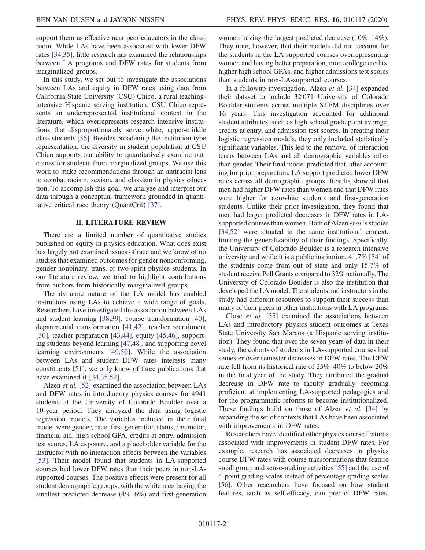support them as effective near-peer educators in the classroom. While LAs have been associated with lower DFW rates [\[34,35\],](#page-12-6) little research has examined the relationships between LA programs and DFW rates for students from marginalized groups.

In this study, we set out to investigate the associations between LAs and equity in DFW rates using data from California State University (CSU) Chico, a rural teachingintensive Hispanic serving institution. CSU Chico represents an underrepresented institutional context in the literature, which overrepresents research intensive institutions that disproportionately serve white, upper-middle class students [\[36\].](#page-12-7) Besides broadening the institution-type representation, the diversity in student population at CSU Chico supports our ability to quantitatively examine outcomes for students from marginalized groups. We use this work to make recommendations through an antiracist lens to combat racism, sexism, and classism in physics education. To accomplish this goal, we analyze and interpret our data through a conceptual framework grounded in quantitative critical race theory (QuantCrit) [\[37\].](#page-12-8)

### II. LITERATURE REVIEW

There are a limited number of quantitative studies published on equity in physics education. What does exist has largely not examined issues of race and we know of no studies that examined outcomes for gender nonconforming, gender nonbinary, trans, or two-spirit physics students. In our literature review, we tried to highlight contributions from authors from historically marginalized groups.

The dynamic nature of the LA model has enabled instructors using LAs to achieve a wide range of goals. Researchers have investigated the association between LAs and student learning [\[38,39\],](#page-12-9) course transformation [\[40\]](#page-12-10), departmental transformation [\[41,42\]](#page-12-11), teacher recruitment [\[30\]](#page-12-4), teacher preparation [\[43,44\]](#page-12-12), equity [\[45,46\]](#page-12-13), supporting students beyond learning [\[47,48\]](#page-12-14), and supporting novel learning environments [\[49,50\].](#page-12-15) While the association between LAs and student DFW rates interests many constituents [\[51\]](#page-12-16), we only know of three publications that have examined it [\[34,35,52\].](#page-12-6)

Alzen et al. [\[52\]](#page-12-17) examined the association between LAs and DFW rates in introductory physics courses for 4941 students at the University of Colorado Boulder over a 10-year period. They analyzed the data using logistic regression models. The variables included in their final model were gender, race, first-generation status, instructor, financial aid, high school GPA, credits at entry, admission test scores, LA exposure, and a placeholder variable for the instructor with no interaction effects between the variables [\[53\]](#page-13-0). Their model found that students in LA-supported courses had lower DFW rates than their peers in non-LAsupported courses. The positive effects were present for all student demographic groups, with the white men having the smallest predicted decrease (4%–6%) and first-generation women having the largest predicted decrease (10%–14%). They note, however, that their models did not account for the students in the LA-supported courses overrepresenting women and having better preparation, more college credits, higher high school GPAs, and higher admissions test scores than students in non-LA-supported courses.

In a followup investigation, Alzen et al. [\[34\]](#page-12-6) expanded their dataset to include 32 071 University of Colorado Boulder students across multiple STEM disciplines over 16 years. This investigation accounted for additional student attributes, such as high school grade point average, credits at entry, and admission test scores. In creating their logistic regression models, they only included statistically significant variables. This led to the removal of interaction terms between LAs and all demographic variables other than gender. Their final model predicted that, after accounting for prior preparation, LA support predicted lower DFW rates across all demographic groups. Results showed that men had higher DFW rates than women and that DFW rates were higher for nonwhite students and first-generation students. Unlike their prior investigation, they found that men had larger predicted decreases in DFW rates in LAsupported courses than women. Both of Alzen *et al.*'s studies [\[34,52\]](#page-12-6) were situated in the same institutional context, limiting the generalizability of their findings. Specifically, the University of Colorado Boulder is a research intensive university and while it is a public institution, 41.7% [\[54\]](#page-13-1) of the students come from out of state and only 15.7% of student receive Pell Grants compared to 32% nationally. The University of Colorado Boulder is also the institution that developed the LA model. The students and instructors in the study had different resources to support their success than many of their peers in other institutions with LA programs.

Close et al. [\[35\]](#page-12-18) examined the associations between LAs and introductory physics student outcomes at Texas State University San Marcos (a Hispanic serving institution). They found that over the seven years of data in their study, the cohorts of students in LA-supported courses had semester-over-semester decreases in DFW rates. The DFW rate fell from its historical rate of 25%–40% to below 20% in the final year of the study. They attributed the gradual decrease in DFW rate to faculty gradually becoming proficient at implementing LA-supported pedagogies and for the programmatic reforms to become institutionalized. These findings build on those of Alzen et al. [\[34\]](#page-12-6) by expanding the set of contexts that LAs have been associated with improvements in DFW rates.

Researchers have identified other physics course features associated with improvements in student DFW rates. For example, research has associated decreases in physics course DFW rates with course transformations that feature small group and sense-making activities [\[55\]](#page-13-2) and the use of 4-point grading scales instead of percentage grading scales [\[56\]](#page-13-3). Other researchers have focused on how student features, such as self-efficacy, can predict DFW rates.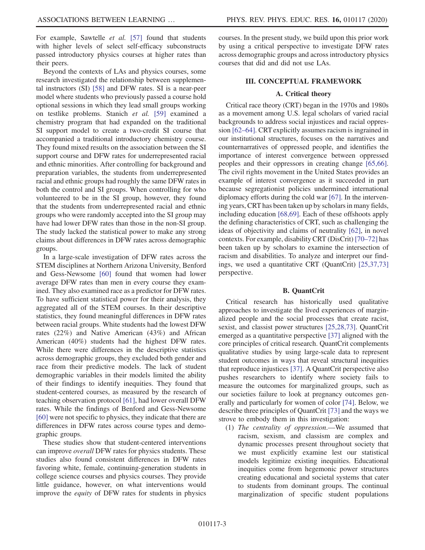For example, Sawtelle et al. [\[57\]](#page-13-4) found that students with higher levels of select self-efficacy subconstructs passed introductory physics courses at higher rates than their peers.

Beyond the contexts of LAs and physics courses, some research investigated the relationship between supplemental instructors (SI) [\[58\]](#page-13-5) and DFW rates. SI is a near-peer model where students who previously passed a course hold optional sessions in which they lead small groups working on testlike problems. Stanich et al. [\[59\]](#page-13-6) examined a chemistry program that had expanded on the traditional SI support model to create a two-credit SI course that accompanied a traditional introductory chemistry course. They found mixed results on the association between the SI support course and DFW rates for underrepresented racial and ethnic minorities. After controlling for background and preparation variables, the students from underrepresented racial and ethnic groups had roughly the same DFW rates in both the control and SI groups. When controlling for who volunteered to be in the SI group, however, they found that the students from underrepresented racial and ethnic groups who were randomly accepted into the SI group may have had lower DFW rates than those in the non-SI group. The study lacked the statistical power to make any strong claims about differences in DFW rates across demographic groups.

In a large-scale investigation of DFW rates across the STEM disciplines at Northern Arizona University, Benford and Gess-Newsome [\[60\]](#page-13-7) found that women had lower average DFW rates than men in every course they examined. They also examined race as a predictor for DFW rates. To have sufficient statistical power for their analysis, they aggregated all of the STEM courses. In their descriptive statistics, they found meaningful differences in DFW rates between racial groups. White students had the lowest DFW rates (22%) and Native American (43%) and African American (40%) students had the highest DFW rates. While there were differences in the descriptive statistics across demographic groups, they excluded both gender and race from their predictive models. The lack of student demographic variables in their models limited the ability of their findings to identify inequities. They found that student-centered courses, as measured by the research of teaching observation protocol [\[61\],](#page-13-8) had lower overall DFW rates. While the findings of Benford and Gess-Newsome [\[60\]](#page-13-7) were not specific to physics, they indicate that there are differences in DFW rates across course types and demographic groups.

These studies show that student-centered interventions can improve overall DFW rates for physics students. These studies also found consistent differences in DFW rates favoring white, female, continuing-generation students in college science courses and physics courses. They provide little guidance, however, on what interventions would improve the equity of DFW rates for students in physics

courses. In the present study, we build upon this prior work by using a critical perspective to investigate DFW rates across demographic groups and across introductory physics courses that did and did not use LAs.

### III. CONCEPTUAL FRAMEWORK

### A. Critical theory

Critical race theory (CRT) began in the 1970s and 1980s as a movement among U.S. legal scholars of varied racial backgrounds to address social injustices and racial oppression [62–[64\].](#page-13-9) CRT explicitly assumes racism is ingrained in our institutional structures, focuses on the narratives and counternarratives of oppressed people, and identifies the importance of interest convergence between oppressed peoples and their oppressors in creating change [\[65,66\]](#page-13-10). The civil rights movement in the United States provides an example of interest convergence as it succeeded in part because segregationist policies undermined international diplomacy efforts during the cold war [\[67\]](#page-13-11). In the intervening years, CRT has been taken up by scholars in many fields, including education [\[68,69\].](#page-13-12) Each of these offshoots apply the defining characteristics of CRT, such as challenging the ideas of objectivity and claims of neutrality [\[62\],](#page-13-9) in novel contexts. For example, disability CRT (DisCrit) [\[70](#page-13-13)–72] has been taken up by scholars to examine the intersection of racism and disabilities. To analyze and interpret our findings, we used a quantitative CRT (QuantCrit) [\[25,37,73\]](#page-12-3) perspective.

#### B. QuantCrit

Critical research has historically used qualitative approaches to investigate the lived experiences of marginalized people and the social processes that create racist, sexist, and classist power structures [\[25,28,73\].](#page-12-3) QuantCrit emerged as a quantitative perspective [\[37\]](#page-12-8) aligned with the core principles of critical research. QuantCrit complements qualitative studies by using large-scale data to represent student outcomes in ways that reveal structural inequities that reproduce injustices [\[37\].](#page-12-8) A QuantCrit perspective also pushes researchers to identify where society fails to measure the outcomes for marginalized groups, such as our societies failure to look at pregnancy outcomes generally and particularly for women of color [\[74\].](#page-13-14) Below, we describe three principles of QuantCrit [\[73\]](#page-13-15) and the ways we strove to embody them in this investigation:

(1) The centrality of oppression.—We assumed that racism, sexism, and classism are complex and dynamic processes present throughout society that we must explicitly examine lest our statistical models legitimize existing inequities. Educational inequities come from hegemonic power structures creating educational and societal systems that cater to students from dominant groups. The continual marginalization of specific student populations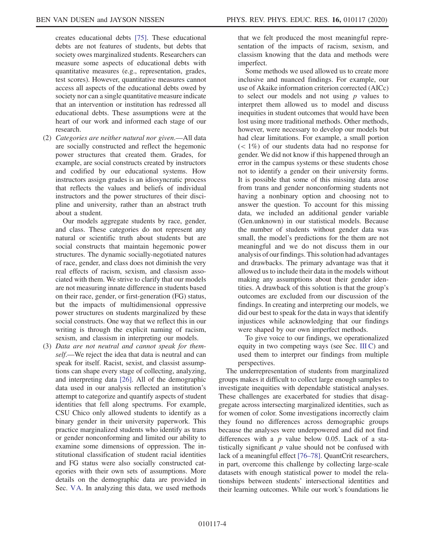creates educational debts [\[75\]](#page-13-16). These educational debts are not features of students, but debts that society owes marginalized students. Researchers can measure some aspects of educational debts with quantitative measures (e.g., representation, grades, test scores). However, quantitative measures cannot access all aspects of the educational debts owed by society nor can a single quantitative measure indicate that an intervention or institution has redressed all educational debts. These assumptions were at the heart of our work and informed each stage of our research.

(2) Categories are neither natural nor given.—All data are socially constructed and reflect the hegemonic power structures that created them. Grades, for example, are social constructs created by instructors and codified by our educational systems. How instructors assign grades is an idiosyncratic process that reflects the values and beliefs of individual instructors and the power structures of their discipline and university, rather than an abstract truth about a student.

Our models aggregate students by race, gender, and class. These categories do not represent any natural or scientific truth about students but are social constructs that maintain hegemonic power structures. The dynamic socially-negotiated natures of race, gender, and class does not diminish the very real effects of racism, sexism, and classism associated with them. We strive to clarify that our models are not measuring innate difference in students based on their race, gender, or first-generation (FG) status, but the impacts of multidimensional oppressive power structures on students marginalized by these social constructs. One way that we reflect this in our writing is through the explicit naming of racism, sexism, and classism in interpreting our models.

(3) Data are not neutral and cannot speak for themself.—We reject the idea that data is neutral and can speak for itself. Racist, sexist, and classist assumptions can shape every stage of collecting, analyzing, and interpreting data [\[26\].](#page-12-19) All of the demographic data used in our analysis reflected an institution's attempt to categorize and quantify aspects of student identities that fell along spectrums. For example, CSU Chico only allowed students to identify as a binary gender in their university paperwork. This practice marginalized students who identify as trans or gender nonconforming and limited our ability to examine some dimensions of oppression. The institutional classification of student racial identities and FG status were also socially constructed categories with their own sets of assumptions. More details on the demographic data are provided in Sec. [VA](#page-5-0). In analyzing this data, we used methods

that we felt produced the most meaningful representation of the impacts of racism, sexism, and classism knowing that the data and methods were imperfect.

Some methods we used allowed us to create more inclusive and nuanced findings. For example, our use of Akaike information criterion corrected (AICc) to select our models and not using  $p$  values to interpret them allowed us to model and discuss inequities in student outcomes that would have been lost using more traditional methods. Other methods, however, were necessary to develop our models but had clear limitations. For example, a small portion  $(< 1\%)$  of our students data had no response for gender. We did not know if this happened through an error in the campus systems or these students chose not to identify a gender on their university forms. It is possible that some of this missing data arose from trans and gender nonconforming students not having a nonbinary option and choosing not to answer the question. To account for this missing data, we included an additional gender variable (Gen.unknown) in our statistical models. Because the number of students without gender data was small, the model's predictions for the them are not meaningful and we do not discuss them in our analysis of our findings. This solution had advantages and drawbacks. The primary advantage was that it allowed us to include their data in the models without making any assumptions about their gender identities. A drawback of this solution is that the group's outcomes are excluded from our discussion of the findings. In creating and interpreting our models, we did our best to speak for the data in ways that identify injustices while acknowledging that our findings were shaped by our own imperfect methods.

To give voice to our findings, we operationalized equity in two competing ways (see Sec. [III C\)](#page-4-0) and used them to interpret our findings from multiple perspectives.

The underrepresentation of students from marginalized groups makes it difficult to collect large enough samples to investigate inequities with dependable statistical analyses. These challenges are exacerbated for studies that disaggregate across intersecting marginalized identities, such as for women of color. Some investigations incorrectly claim they found no differences across demographic groups because the analyses were underpowered and did not find differences with a  $p$  value below 0.05. Lack of a statistically significant  $p$  value should not be confused with lack of a meaningful effect [76–[78\].](#page-13-17) QuantCrit researchers, in part, overcome this challenge by collecting large-scale datasets with enough statistical power to model the relationships between students' intersectional identities and their learning outcomes. While our work's foundations lie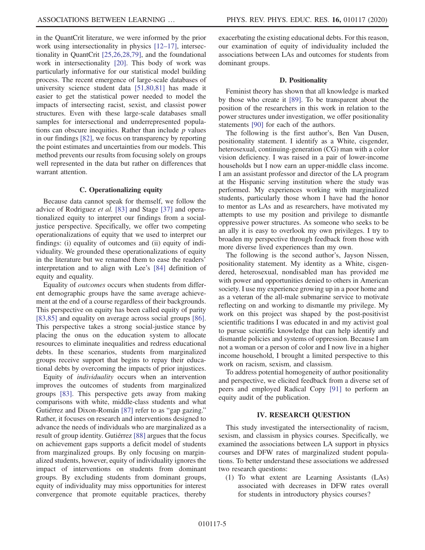in the QuantCrit literature, we were informed by the prior work using intersectionality in physics [12–[17\],](#page-11-6) intersectionality in QuantCrit [\[25,26,28,79\]](#page-12-3), and the foundational work in intersectionality [\[20\].](#page-12-0) This body of work was particularly informative for our statistical model building process. The recent emergence of large-scale databases of university science student data [\[51,80,81\]](#page-12-16) has made it easier to get the statistical power needed to model the impacts of intersecting racist, sexist, and classist power structures. Even with these large-scale databases small samples for intersectional and underrepresented populations can obscure inequities. Rather than include  $p$  values in our findings [\[82\],](#page-13-18) we focus on transparency by reporting the point estimates and uncertainties from our models. This method prevents our results from focusing solely on groups well represented in the data but rather on differences that warrant attention.

#### C. Operationalizing equity

<span id="page-4-0"></span>Because data cannot speak for themself, we follow the advice of Rodriguez et al. [\[83\]](#page-13-19) and Stage [\[37\]](#page-12-8) and operationalized equity to interpret our findings from a socialjustice perspective. Specifically, we offer two competing operationalizations of equity that we used to interpret our findings: (i) equality of outcomes and (ii) equity of individuality. We grounded these operationalizations of equity in the literature but we renamed them to ease the readers' interpretation and to align with Lee's [\[84\]](#page-13-20) definition of equity and equality.

Equality of outcomes occurs when students from different demographic groups have the same average achievement at the end of a course regardless of their backgrounds. This perspective on equity has been called equity of parity [\[83,85\]](#page-13-19) and equality on average across social groups [\[86\]](#page-13-21). This perspective takes a strong social-justice stance by placing the onus on the education system to allocate resources to eliminate inequalities and redress educational debts. In these scenarios, students from marginalized groups receive support that begins to repay their educational debts by overcoming the impacts of prior injustices.

Equity of individuality occurs when an intervention improves the outcomes of students from marginalized groups [\[83\].](#page-13-19) This perspective gets away from making comparisons with white, middle-class students and what Gutiérrez and Dixon-Román [\[87\]](#page-13-22) refer to as "gap gazing." Rather, it focuses on research and interventions designed to advance the needs of individuals who are marginalized as a result of group identity. Gutiérrez [\[88\]](#page-14-0) argues that the focus on achievement gaps supports a deficit model of students from marginalized groups. By only focusing on marginalized students, however, equity of individuality ignores the impact of interventions on students from dominant groups. By excluding students from dominant groups, equity of individuality may miss opportunities for interest convergence that promote equitable practices, thereby exacerbating the existing educational debts. For this reason, our examination of equity of individuality included the associations between LAs and outcomes for students from dominant groups.

### D. Positionality

Feminist theory has shown that all knowledge is marked by those who create it [\[89\].](#page-14-1) To be transparent about the position of the researchers in this work in relation to the power structures under investigation, we offer positionality statements [\[90\]](#page-14-2) for each of the authors.

The following is the first author's, Ben Van Dusen, positionality statement. I identify as a White, cisgender, heterosexual, continuing-generation (CG) man with a color vision deficiency. I was raised in a pair of lower-income households but I now earn an upper-middle class income. I am an assistant professor and director of the LA program at the Hispanic serving institution where the study was performed. My experiences working with marginalized students, particularly those whom I have had the honor to mentor as LAs and as researchers, have motivated my attempts to use my position and privilege to dismantle oppressive power structures. As someone who seeks to be an ally it is easy to overlook my own privileges. I try to broaden my perspective through feedback from those with more diverse lived experiences than my own.

The following is the second author's, Jayson Nissen, positionality statement. My identity as a White, cisgendered, heterosexual, nondisabled man has provided me with power and opportunities denied to others in American society. I use my experience growing up in a poor home and as a veteran of the all-male submarine service to motivate reflecting on and working to dismantle my privilege. My work on this project was shaped by the post-positivist scientific traditions I was educated in and my activist goal to pursue scientific knowledge that can help identify and dismantle policies and systems of oppression. Because I am not a woman or a person of color and I now live in a higher income household, I brought a limited perspective to this work on racism, sexism, and classism.

To address potential homogeneity of author positionality and perspective, we elicited feedback from a diverse set of peers and employed Radical Copy [\[91\]](#page-14-3) to perform an equity audit of the publication.

#### IV. RESEARCH QUESTION

This study investigated the intersectionality of racism, sexism, and classism in physics courses. Specifically, we examined the associations between LA support in physics courses and DFW rates of marginalized student populations. To better understand these associations we addressed two research questions:

(1) To what extent are Learning Assistants (LAs) associated with decreases in DFW rates overall for students in introductory physics courses?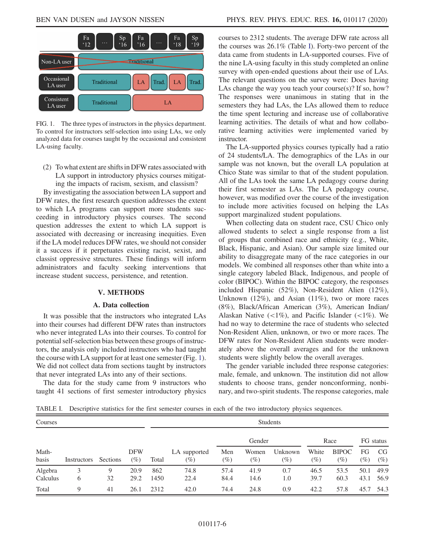<span id="page-5-1"></span>

FIG. 1. The three types of instructors in the physics department. To control for instructors self-selection into using LAs, we only analyzed data for courses taught by the occasional and consistent LA-using faculty.

(2) To what extent are shifts in DFW rates associated with LA support in introductory physics courses mitigating the impacts of racism, sexism, and classism?

By investigating the association between LA support and DFW rates, the first research question addresses the extent to which LA programs can support more students succeeding in introductory physics courses. The second question addresses the extent to which LA support is associated with decreasing or increasing inequities. Even if the LA model reduces DFW rates, we should not consider it a success if it perpetuates existing racist, sexist, and classist oppressive structures. These findings will inform administrators and faculty seeking interventions that increase student success, persistence, and retention.

#### V. METHODS

#### A. Data collection

<span id="page-5-0"></span>It was possible that the instructors who integrated LAs into their courses had different DFW rates than instructors who never integrated LAs into their courses. To control for potential self-selection bias between these groups of instructors, the analysis only included instructors who had taught the course with LA support for at least one semester (Fig. [1](#page-5-1)). We did not collect data from sections taught by instructors that never integrated LAs into any of their sections.

The data for the study came from 9 instructors who taught 41 sections of first semester introductory physics courses to 2312 students. The average DFW rate across all the courses was 26.1% (Table [I\)](#page-5-2). Forty-two percent of the data came from students in LA-supported courses. Five of the nine LA-using faculty in this study completed an online survey with open-ended questions about their use of LAs. The relevant questions on the survey were: Does having LAs change the way you teach your course(s)? If so, how? The responses were unanimous in stating that in the semesters they had LAs, the LAs allowed them to reduce the time spent lecturing and increase use of collaborative learning activities. The details of what and how collaborative learning activities were implemented varied by instructor.

The LA-supported physics courses typically had a ratio of 24 students/LA. The demographics of the LAs in our sample was not known, but the overall LA population at Chico State was similar to that of the student population. All of the LAs took the same LA pedagogy course during their first semester as LAs. The LA pedagogy course, however, was modified over the course of the investigation to include more activities focused on helping the LAs support marginalized student populations.

When collecting data on student race, CSU Chico only allowed students to select a single response from a list of groups that combined race and ethnicity (e.g., White, Black, Hispanic, and Asian). Our sample size limited our ability to disaggregate many of the race categories in our models. We combined all responses other than white into a single category labeled Black, Indigenous, and people of color (BIPOC). Within the BIPOC category, the responses included Hispanic (52%), Non-Resident Alien (12%), Unknown (12%), and Asian (11%), two or more races (8%), Black/African American (3%), American Indian/ Alaskan Native  $\left($  <1%), and Pacific Islander  $\left($  <1%). We had no way to determine the race of students who selected Non-Resident Alien, unknown, or two or more races. The DFW rates for Non-Resident Alien students were moderately above the overall averages and for the unknown students were slightly below the overall averages.

The gender variable included three response categories: male, female, and unknown. The institution did not allow students to choose trans, gender nonconforming, nonbinary, and two-spirit students. The response categories, male

<span id="page-5-2"></span>TABLE I. Descriptive statistics for the first semester courses in each of the two introductory physics sequences.

| Courses             |             |          |                      | Students    |                        |               |                 |                                |                 |                        |              |              |
|---------------------|-------------|----------|----------------------|-------------|------------------------|---------------|-----------------|--------------------------------|-----------------|------------------------|--------------|--------------|
|                     |             | Sections | <b>DFW</b><br>$(\%)$ | Total       | LA supported<br>$(\%)$ | Gender        |                 |                                | Race            |                        | FG status    |              |
| Math-<br>basis      | Instructors |          |                      |             |                        | Men<br>$(\%)$ | Women<br>$(\%)$ | Unknown<br>$\left( \% \right)$ | White<br>$(\%)$ | <b>BIPOC</b><br>$(\%)$ | FG<br>$(\%)$ | CG<br>$(\%)$ |
| Algebra<br>Calculus | 6           | 9<br>32  | 20.9<br>29.2         | 862<br>1450 | 74.8<br>22.4           | 57.4<br>84.4  | 41.9<br>14.6    | 0.7<br>1.0                     | 46.5<br>39.7    | 53.5<br>60.3           | 50.1<br>43.1 | 49.9<br>56.9 |
| Total               | 9           | 41       | 26.1                 | 2312        | 42.0                   | 74.4          | 24.8            | 0.9                            | 42.2            | 57.8                   | 45.7         | 54.3         |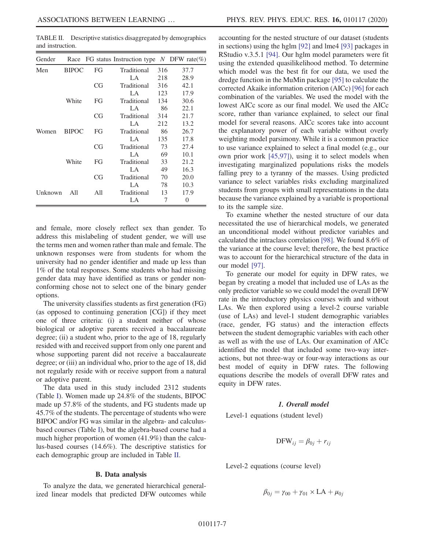<span id="page-6-0"></span>TABLE II. Descriptive statistics disaggregated by demographics and instruction.

| Gender  |              |     | Race FG status Instruction type N DFW rate(%) |     |          |
|---------|--------------|-----|-----------------------------------------------|-----|----------|
| Men     | <b>BIPOC</b> | FG  | Traditional                                   | 316 | 37.7     |
|         |              |     | LA                                            | 218 | 28.9     |
|         |              | CG  | Traditional                                   | 316 | 42.1     |
|         |              |     | LA                                            | 123 | 17.9     |
|         | White        | FG  | Traditional                                   | 134 | 30.6     |
|         |              |     | LA                                            | 86  | 22.1     |
|         |              | CG  | Traditional                                   | 314 | 21.7     |
|         |              |     | LA                                            | 212 | 13.2     |
| Women   | <b>BIPOC</b> | FG  | Traditional                                   | 86  | 26.7     |
|         |              |     | LA                                            | 135 | 17.8     |
|         |              | CG  | Traditional                                   | 73  | 27.4     |
|         |              |     | LA                                            | 69  | 10.1     |
|         | White        | FG  | Traditional                                   | 33  | 21.2     |
|         |              |     | LA                                            | 49  | 16.3     |
|         |              | CG  | Traditional                                   | 70  | 20.0     |
|         |              |     | LA                                            | 78  | 10.3     |
| Unknown | All          | All | Traditional                                   | 13  | 17.9     |
|         |              |     | LA                                            | 7   | $\theta$ |

and female, more closely reflect sex than gender. To address this mislabeling of student gender, we will use the terms men and women rather than male and female. The unknown responses were from students for whom the university had no gender identifier and made up less than 1% of the total responses. Some students who had missing gender data may have identified as trans or gender nonconforming chose not to select one of the binary gender options.

The university classifies students as first generation (FG) (as opposed to continuing generation [CG]) if they meet one of three criteria: (i) a student neither of whose biological or adoptive parents received a baccalaureate degree; (ii) a student who, prior to the age of 18, regularly resided with and received support from only one parent and whose supporting parent did not receive a baccalaureate degree; or (iii) an individual who, prior to the age of 18, did not regularly reside with or receive support from a natural or adoptive parent.

The data used in this study included 2312 students (Table [I\)](#page-5-2). Women made up 24.8% of the students, BIPOC made up 57.8% of the students, and FG students made up 45.7% of the students. The percentage of students who were BIPOC and/or FG was similar in the algebra- and calculusbased courses (Table [I\)](#page-5-2), but the algebra-based course had a much higher proportion of women (41.9%) than the calculus-based courses (14.6%). The descriptive statistics for each demographic group are included in Table [II.](#page-6-0)

#### B. Data analysis

To analyze the data, we generated hierarchical generalized linear models that predicted DFW outcomes while accounting for the nested structure of our dataset (students in sections) using the hglm [\[92\]](#page-14-4) and lme4 [\[93\]](#page-14-5) packages in RStudio v.3.5.1 [\[94\].](#page-14-6) Our hglm model parameters were fit using the extended quasilikelihood method. To determine which model was the best fit for our data, we used the dredge function in the MuMin package [\[95\]](#page-14-7) to calculate the corrected Akaike information criterion (AICc) [\[96\]](#page-14-8) for each combination of the variables. We used the model with the lowest AICc score as our final model. We used the AICc score, rather than variance explained, to select our final model for several reasons. AICc scores take into account the explanatory power of each variable without overly weighting model parsimony. While it is a common practice to use variance explained to select a final model (e.g., our own prior work [\[45,97\]\)](#page-12-13), using it to select models when investigating marginalized populations risks the models falling prey to a tyranny of the masses. Using predicted variance to select variables risks excluding marginalized students from groups with small representations in the data because the variance explained by a variable is proportional to its the sample size.

To examine whether the nested structure of our data necessitated the use of hierarchical models, we generated an unconditional model without predictor variables and calculated the intraclass correlation [\[98\].](#page-14-9) We found 8.6% of the variance at the course level; therefore, the best practice was to account for the hierarchical structure of the data in our model [\[97\]](#page-14-10).

To generate our model for equity in DFW rates, we began by creating a model that included use of LAs as the only predictor variable so we could model the overall DFW rate in the introductory physics courses with and without LAs. We then explored using a level-2 course variable (use of LAs) and level-1 student demographic variables (race, gender, FG status) and the interaction effects between the student demographic variables with each other as well as with the use of LAs. Our examination of AICc identified the model that included some two-way interactions, but not three-way or four-way interactions as our best model of equity in DFW rates. The following equations describe the models of overall DFW rates and equity in DFW rates.

### 1. Overall model

Level-1 equations (student level)

$$
DFW_{ij} = \beta_{0j} + r_{ij}
$$

Level-2 equations (course level)

$$
\beta_{0j} = \gamma_{00} + \gamma_{01} \times LA + \mu_{0j}
$$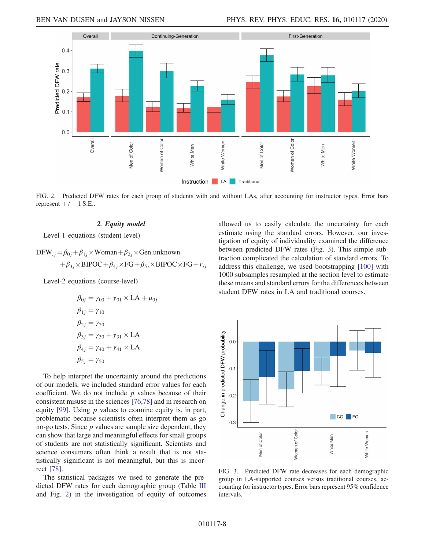<span id="page-7-0"></span>

FIG. 2. Predicted DFW rates for each group of students with and without LAs, after accounting for instructor types. Error bars represent  $+/- 1$  S.E..

### 2. Equity model

Level-1 equations (student level)

$$
DFW_{ij} = \beta_{0j} + \beta_{1j} \times Woman + \beta_{2j} \times Gen.unknown
$$
  
+ $\beta_{3j} \times BIPOC + \beta_{4j} \times FG + \beta_{5j} \times BIPOC \times FG + r_{ij}$ 

Level-2 equations (course-level)

$$
\beta_{0j} = \gamma_{00} + \gamma_{01} \times LA + \mu_{0j}
$$
  
\n
$$
\beta_{1j} = \gamma_{10}
$$
  
\n
$$
\beta_{2j} = \gamma_{20}
$$
  
\n
$$
\beta_{3j} = \gamma_{30} + \gamma_{31} \times LA
$$
  
\n
$$
\beta_{4j} = \gamma_{40} + \gamma_{41} \times LA
$$
  
\n
$$
\beta_{5j} = \gamma_{50}
$$

To help interpret the uncertainty around the predictions of our models, we included standard error values for each coefficient. We do not include  $p$  values because of their consistent misuse in the sciences [\[76,78\]](#page-13-17) and in research on equity [\[99\].](#page-14-11) Using  $p$  values to examine equity is, in part, problematic because scientists often interpret them as go no-go tests. Since  $p$  values are sample size dependent, they can show that large and meaningful effects for small groups of students are not statistically significant. Scientists and science consumers often think a result that is not statistically significant is not meaningful, but this is incorrect [\[78\]](#page-13-23).

The statistical packages we used to generate the predicted DFW rates for each demographic group (Table [III](#page-8-0) and Fig. [2](#page-7-0)) in the investigation of equity of outcomes allowed us to easily calculate the uncertainty for each estimate using the standard errors. However, our investigation of equity of individuality examined the difference between predicted DFW rates (Fig. [3](#page-7-1)). This simple subtraction complicated the calculation of standard errors. To address this challenge, we used bootstrapping [\[100\]](#page-14-12) with 1000 subsamples resampled at the section level to estimate these means and standard errors for the differences between student DFW rates in LA and traditional courses.

<span id="page-7-1"></span>

FIG. 3. Predicted DFW rate decreases for each demographic group in LA-supported courses versus traditional courses, accounting for instructor types. Error bars represent 95% confidence intervals.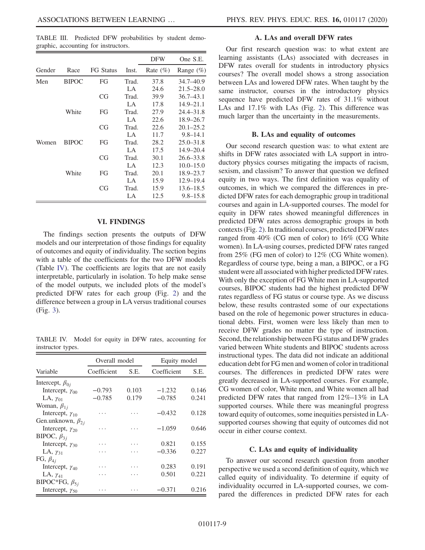<span id="page-8-0"></span>TABLE III. Predicted DFW probabilities by student demographic, accounting for instructors.

|        |              |           |       | <b>DFW</b>  | One S.E.      |
|--------|--------------|-----------|-------|-------------|---------------|
| Gender | Race         | FG Status | Inst. | Rate $(\%)$ | Range $(\%)$  |
| Men    | <b>BIPOC</b> | FG        | Trad. | 37.8        | 34.7–40.9     |
|        |              |           | LA    | 24.6        | $21.5 - 28.0$ |
|        |              | CG        | Trad. | 39.9        | $36.7 - 43.1$ |
|        |              |           | LA    | 17.8        | $14.9 - 21.1$ |
|        | White        | FG        | Trad. | 27.9        | $24.4 - 31.8$ |
|        |              |           | LA    | 22.6        | $18.9 - 26.7$ |
|        |              | CG        | Trad. | 22.6        | $20.1 - 25.2$ |
|        |              |           | LA    | 11.7        | $9.8 - 14.1$  |
| Women  | <b>BIPOC</b> | FG        | Trad. | 28.2        | $25.0 - 31.8$ |
|        |              |           | LA    | 17.5        | $14.9 - 20.4$ |
|        |              | CG        | Trad. | 30.1        | $26.6 - 33.8$ |
|        |              |           | LA    | 12.3        | $10.0 - 15.0$ |
|        | White        | FG        | Trad. | 20.1        | 18.9–23.7     |
|        |              |           | LA    | 15.9        | $12.9 - 19.4$ |
|        |              | CG        | Trad. | 15.9        | $13.6 - 18.5$ |
|        |              |           | LA    | 12.5        | $9.8 - 15.8$  |

#### VI. FINDINGS

The findings section presents the outputs of DFW models and our interpretation of those findings for equality of outcomes and equity of individuality. The section begins with a table of the coefficients for the two DFW models (Table [IV](#page-8-1)). The coefficients are logits that are not easily interpretable, particularly in isolation. To help make sense of the model outputs, we included plots of the model's predicted DFW rates for each group (Fig. [2](#page-7-0)) and the difference between a group in LA versus traditional courses (Fig. [3\)](#page-7-1).

<span id="page-8-1"></span>TABLE IV. Model for equity in DFW rates, accounting for instructor types.

|                           | Overall model |       | Equity model |       |  |
|---------------------------|---------------|-------|--------------|-------|--|
| Variable                  | Coefficient   | S.E.  | Coefficient  | S.E.  |  |
| Intercept, $\beta_{0i}$   |               |       |              |       |  |
| Intercept, $\gamma_{00}$  | $-0.793$      | 0.103 | $-1.232$     | 0.146 |  |
| LA, $\gamma_{01}$         | $-0.785$      | 0.179 | $-0.785$     | 0.241 |  |
| Woman, $\beta_{1i}$       |               |       |              |       |  |
| Intercept, $\gamma_{10}$  |               |       | $-0.432$     | 0.128 |  |
| Gen.unknown, $\beta_{2i}$ |               |       |              |       |  |
| Intercept, $\gamma_{20}$  |               |       | $-1.059$     | 0.646 |  |
| BIPOC, $\beta_{3i}$       |               |       |              |       |  |
| Intercept, $\gamma_{30}$  |               |       | 0.821        | 0.155 |  |
| LA, $\gamma_{31}$         |               |       | $-0.336$     | 0.227 |  |
| FG, $\beta_{4j}$          |               |       |              |       |  |
| Intercept, $\gamma_{40}$  |               |       | 0.283        | 0.191 |  |
| LA, $\gamma_{41}$         |               |       | 0.501        | 0.221 |  |
| BIPOC*FG, $\beta_{5i}$    |               |       |              |       |  |
| Intercept, $\gamma_{50}$  | .             |       | $-0.371$     | 0.216 |  |

#### A. LAs and overall DFW rates

Our first research question was: to what extent are learning assistants (LAs) associated with decreases in DFW rates overall for students in introductory physics courses? The overall model shows a strong association between LAs and lowered DFW rates. When taught by the same instructor, courses in the introductory physics sequence have predicted DFW rates of 31.1% without LAs and 17.1% with LAs (Fig. [2](#page-7-0)). This difference was much larger than the uncertainty in the measurements.

#### B. LAs and equality of outcomes

Our second research question was: to what extent are shifts in DFW rates associated with LA support in introductory physics courses mitigating the impacts of racism, sexism, and classism? To answer that question we defined equity in two ways. The first definition was equality of outcomes, in which we compared the differences in predicted DFW rates for each demographic group in traditional courses and again in LA-supported courses. The model for equity in DFW rates showed meaningful differences in predicted DFW rates across demographic groups in both contexts (Fig. [2\)](#page-7-0). In traditional courses, predicted DFW rates ranged from 40% (CG men of color) to 16% (CG White women). In LA-using courses, predicted DFW rates ranged from 25% (FG men of color) to 12% (CG White women). Regardless of course type, being a man, a BIPOC, or a FG student were all associated with higher predicted DFW rates. With only the exception of FG White men in LA-supported courses, BIPOC students had the highest predicted DFW rates regardless of FG status or course type. As we discuss below, these results contrasted some of our expectations based on the role of hegemonic power structures in educational debts. First, women were less likely than men to receive DFW grades no matter the type of instruction. Second, the relationship between FG status and DFW grades varied between White students and BIPOC students across instructional types. The data did not indicate an additional education debt for FG men and women of color in traditional courses. The differences in predicted DFW rates were greatly decreased in LA-supported courses. For example, CG women of color, White men, and White women all had predicted DFW rates that ranged from 12%–13% in LA supported courses. While there was meaningful progress toward equity of outcomes, some inequities persisted in LAsupported courses showing that equity of outcomes did not occur in either course context.

#### C. LAs and equity of individuality

To answer our second research question from another perspective we used a second definition of equity, which we called equity of individuality. To determine if equity of individuality occurred in LA-supported courses, we compared the differences in predicted DFW rates for each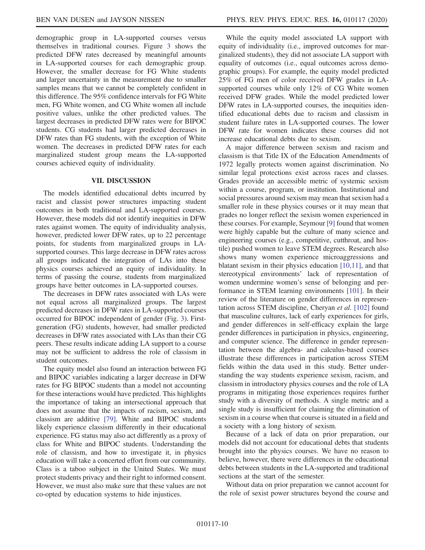demographic group in LA-supported courses versus themselves in traditional courses. Figure [3](#page-7-1) shows the predicted DFW rates decreased by meaningful amounts in LA-supported courses for each demographic group. However, the smaller decrease for FG White students and larger uncertainty in the measurement due to smaller samples means that we cannot be completely confident in this difference. The 95% confidence intervals for FG White men, FG White women, and CG White women all include positive values, unlike the other predicted values. The largest decreases in predicted DFW rates were for BIPOC students. CG students had larger predicted decreases in DFW rates than FG students, with the exception of White women. The decreases in predicted DFW rates for each marginalized student group means the LA-supported courses achieved equity of individuality.

#### VII. DISCUSSION

The models identified educational debts incurred by racist and classist power structures impacting student outcomes in both traditional and LA-supported courses. However, these models did not identify inequities in DFW rates against women. The equity of individuality analysis, however, predicted lower DFW rates, up to 22 percentage points, for students from marginalized groups in LAsupported courses. This large decrease in DFW rates across all groups indicated the integration of LAs into these physics courses achieved an equity of individuality. In terms of passing the course, students from marginalized groups have better outcomes in LA-supported courses.

The decreases in DFW rates associated with LAs were not equal across all marginalized groups. The largest predicted decreases in DFW rates in LA-supported courses occurred for BIPOC independent of gender (Fig. [3\)](#page-7-1). Firstgeneration (FG) students, however, had smaller predicted decreases in DFW rates associated with LAs than their CG peers. These results indicate adding LA support to a course may not be sufficient to address the role of classism in student outcomes.

The equity model also found an interaction between FG and BIPOC variables indicating a larger decrease in DFW rates for FG BIPOC students than a model not accounting for these interactions would have predicted. This highlights the importance of taking an intersectional approach that does not assume that the impacts of racism, sexism, and classism are additive [\[79\].](#page-13-24) White and BIPOC students likely experience classism differently in their educational experience. FG status may also act differently as a proxy of class for White and BIPOC students. Understanding the role of classism, and how to investigate it, in physics education will take a concerted effort from our community. Class is a taboo subject in the United States. We must protect students privacy and their right to informed consent. However, we must also make sure that these values are not co-opted by education systems to hide injustices.

While the equity model associated LA support with equity of individuality (i.e., improved outcomes for marginalized students), they did not associate LA support with equality of outcomes (i.e., equal outcomes across demographic groups). For example, the equity model predicted 25% of FG men of color received DFW grades in LAsupported courses while only 12% of CG White women received DFW grades. While the model predicted lower DFW rates in LA-supported courses, the inequities identified educational debts due to racism and classism in student failure rates in LA-supported courses. The lower DFW rate for women indicates these courses did not increase educational debts due to sexism.

A major difference between sexism and racism and classism is that Title IX of the Education Amendments of 1972 legally protects women against discrimination. No similar legal protections exist across races and classes. Grades provide an accessible metric of systemic sexism within a course, program, or institution. Institutional and social pressures around sexism may mean that sexism had a smaller role in these physics courses or it may mean that grades no longer reflect the sexism women experienced in these courses. For example, Seymour [\[9\]](#page-11-3) found that women were highly capable but the culture of many science and engineering courses (e.g., competitive, cutthroat, and hostile) pushed women to leave STEM degrees. Research also shows many women experience microaggressions and blatant sexism in their physics education [\[10,11\]](#page-11-4), and that stereotypical environments' lack of representation of women undermine women's sense of belonging and performance in STEM learning environments [\[101\]](#page-14-13). In their review of the literature on gender differences in representation across STEM discipline, Cheryan et al. [\[102\]](#page-14-14) found that masculine cultures, lack of early experiences for girls, and gender differences in self-efficacy explain the large gender differences in participation in physics, engineering, and computer science. The difference in gender representation between the algebra- and calculus-based courses illustrate these differences in participation across STEM fields within the data used in this study. Better understanding the way students experience sexism, racism, and classism in introductory physics courses and the role of LA programs in mitigating those experiences requires further study with a diversity of methods. A single metric and a single study is insufficient for claiming the elimination of sexism in a course when that course is situated in a field and a society with a long history of sexism.

Because of a lack of data on prior preparation, our models did not account for educational debts that students brought into the physics courses. We have no reason to believe, however, there were differences in the educational debts between students in the LA-supported and traditional sections at the start of the semester.

Without data on prior preparation we cannot account for the role of sexist power structures beyond the course and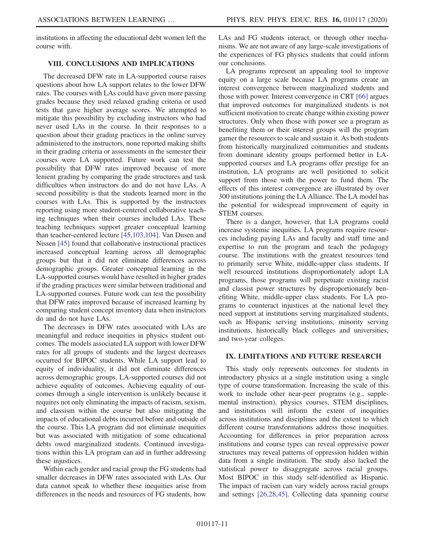institutions in affecting the educational debt women left the course with.

### VIII. CONCLUSIONS AND IMPLICATIONS

The decreased DFW rate in LA-supported course raises questions about how LA support relates to the lower DFW rates. The courses with LAs could have given more passing grades because they used relaxed grading criteria or used tests that gave higher average scores. We attempted to mitigate this possibility by excluding instructors who had never used LAs in the course. In their responses to a question about their grading practices in the online survey administered to the instructors, none reported making shifts in their grading criteria or assessments in the semester their courses were LA supported. Future work can test the possibility that DFW rates improved because of more lenient grading by comparing the grade structures and task difficulties when instructors do and do not have LAs. A second possibility is that the students learned more in the courses with LAs. This is supported by the instructors reporting using more student-centered collaborative teaching techniques when their courses included LAs. These teaching techniques support greater conceptual learning than teacher-centered lecture [\[45,103,104\]](#page-12-13). Van Dusen and Nissen [\[45\]](#page-12-13) found that collaborative instructional practices increased conceptual learning across all demographic groups but that it did not eliminate differences across demographic groups. Greater conceptual learning in the LA-supported courses would have resulted in higher grades if the grading practices were similar between traditional and LA-supported courses. Future work can test the possibility that DFW rates improved because of increased learning by comparing student concept inventory data when instructors do and do not have LAs.

The decreases in DFW rates associated with LAs are meaningful and reduce inequities in physics student outcomes. The models associated LA support with lower DFW rates for all groups of students and the largest decreases occurred for BIPOC students. While LA support lead to equity of individuality, it did not eliminate differences across demographic groups. LA-supported courses did not achieve equality of outcomes. Achieving equality of outcomes through a single intervention is unlikely because it requires not only eliminating the impacts of racism, sexism, and classism within the course but also mitigating the impacts of educational debts incurred before and outside of the course. This LA program did not eliminate inequities but was associated with mitigation of some educational debts owed marginalized students. Continued investigations within this LA program can aid in further addressing these injustices.

Within each gender and racial group the FG students had smaller decreases in DFW rates associated with LAs. Our data cannot speak to whether these inequities arise from differences in the needs and resources of FG students, how LAs and FG students interact, or through other mechanisms. We are not aware of any large-scale investigations of the experiences of FG physics students that could inform our conclusions.

LA programs represent an appealing tool to improve equity on a large scale because LA programs create an interest convergence between marginalized students and those with power. Interest convergence in CRT [\[66\]](#page-13-25) argues that improved outcomes for marginalized students is not sufficient motivation to create change within existing power structures. Only when those with power see a program as benefiting them or their interest groups will the program garner the resources to scale and sustain it. As both students from historically marginalized communities and students from dominant identity groups performed better in LAsupported courses and LA programs offer prestige for an institution, LA programs are well positioned to solicit support from those with the power to fund them. The effects of this interest convergence are illustrated by over 300 institutions joining the LA Alliance. The LA model has the potential for widespread improvement of equity in STEM courses.

There is a danger, however, that LA programs could increase systemic inequities. LA programs require resources including paying LAs and faculty and staff time and expertise to run the program and teach the pedagogy course. The institutions with the greatest resources tend to primarily serve White, middle-upper class students. If well resourced institutions disproportionately adopt LA programs, those programs will perpetuate existing racist and classist power structures by disproportionately benefiting White, middle-upper class students. For LA programs to counteract injustices at the national level they need support at institutions serving marginalized students, such as Hispanic serving institutions, minority serving institutions, historically black colleges and universities, and two-year colleges.

### IX. LIMITATIONS AND FUTURE RESEARCH

This study only represents outcomes for students in introductory physics at a single institution using a single type of course transformation. Increasing the scale of this work to include other near-peer programs (e.g., supplemental instruction), physics courses, STEM disciplines, and institutions will inform the extent of inequities across institutions and disciplines and the extent to which different course transformations address those inequities. Accounting for differences in prior preparation across institutions and course types can reveal oppressive power structures may reveal patterns of oppression hidden within data from a single institution. The study also lacked the statistical power to disaggregate across racial groups. Most BIPOC in this study self-identified as Hispanic. The impact of racism can vary widely across racial groups and settings [\[26,28,45\]](#page-12-19). Collecting data spanning course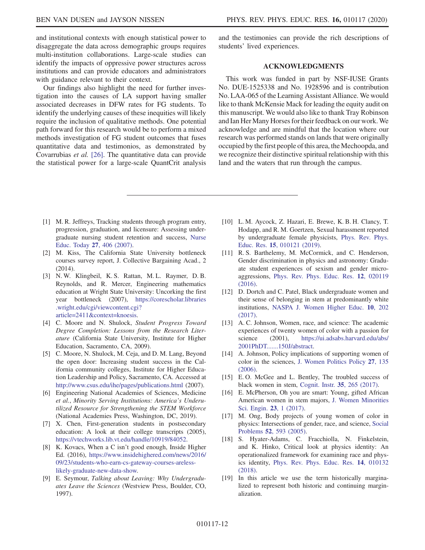and institutional contexts with enough statistical power to disaggregate the data across demographic groups requires multi-institution collaborations. Large-scale studies can identify the impacts of oppressive power structures across institutions and can provide educators and administrators with guidance relevant to their context.

Our findings also highlight the need for further investigation into the causes of LA support having smaller associated decreases in DFW rates for FG students. To identify the underlying causes of these inequities will likely require the inclusion of qualitative methods. One potential path forward for this research would be to perform a mixed methods investigation of FG student outcomes that fuses quantitative data and testimonios, as demonstrated by Covarrubias et al. [\[26\].](#page-12-19) The quantitative data can provide the statistical power for a large-scale QuantCrit analysis and the testimonies can provide the rich descriptions of students' lived experiences.

## ACKNOWLEDGMENTS

This work was funded in part by NSF-IUSE Grants No. DUE-1525338 and No. 1928596 and is contribution No. LAA-065 of the Learning Assistant Alliance. We would like to thank McKensie Mack for leading the equity audit on this manuscript. We would also like to thank Tray Robinson and Ian Her Many Horses for their feedback on our work.We acknowledge and are mindful that the location where our research was performed stands on lands that were originally occupied by the first people of this area, the Mechoopda, and we recognize their distinctive spiritual relationship with this land and the waters that run through the campus.

- <span id="page-11-0"></span>[1] M. R. Jeffreys, Tracking students through program entry, progression, graduation, and licensure: Assessing undergraduate nursing student retention and success, [Nurse](https://doi.org/10.1016/j.nedt.2006.07.003) [Educ. Today](https://doi.org/10.1016/j.nedt.2006.07.003) 27, 406 (2007).
- [2] M. Kiss, The California State University bottleneck courses survey report, J. Collective Bargaining Acad., 2 (2014).
- [3] N. W. Klingbeil, K. S. Rattan, M. L. Raymer, D. B. Reynolds, and R. Mercer, Engineering mathematics education at Wright State University: Uncorking the first year bottleneck (2007), [https://corescholar.libraries](https://corescholar.libraries.wright.edu/cgi/viewcontent.cgi?article=2411&context=knoesis) [.wright.edu/cgi/viewcontent.cgi?](https://corescholar.libraries.wright.edu/cgi/viewcontent.cgi?article=2411&context=knoesis) [article=2411&context=knoesis.](https://corescholar.libraries.wright.edu/cgi/viewcontent.cgi?article=2411&context=knoesis)
- [4] C. Moore and N. Shulock, Student Progress Toward Degree Completion: Lessons from the Research Literature (California State University, Institute for Higher Education, Sacramento, CA, 2009).
- [5] C. Moore, N. Shulock, M. Ceja, and D. M. Lang, Beyond the open door: Increasing student success in the California community colleges, Institute for Higher Education Leadership and Policy, Sacramento, CA. Accessed at <http://www.csus.edu/ihe/pages/publications.html> (2007).
- <span id="page-11-1"></span>[6] Engineering National Academies of Sciences, Medicine et al., Minority Serving Institutions: America's Underutilized Resource for Strengthening the STEM Workforce (National Academies Press, Washington, DC, 2019).
- <span id="page-11-2"></span>[7] X. Chen, First-generation students in postsecondary education: A look at their college transcripts (2005), <https://vtechworks.lib.vt.edu/handle/10919/84052>.
- [8] K. Kovacs, When a C isn't good enough, Inside Higher Ed. (2016), [https://www.insidehighered.com/news/2016/](https://www.insidehighered.com/news/2016/09/23/students-who-earn-cs-gateway-courses-areless-) [09/23/students-who-earn-cs-gateway-courses-areless](https://www.insidehighered.com/news/2016/09/23/students-who-earn-cs-gateway-courses-areless-)[likely-graduate-new-data-show.](https://www.insidehighered.com/news/2016/09/23/students-who-earn-cs-gateway-courses-areless-)
- <span id="page-11-3"></span>[9] E. Seymour, Talking about Leaving: Why Undergraduates Leave the Sciences (Westview Press, Boulder, CO, 1997).
- <span id="page-11-4"></span>[10] L. M. Aycock, Z. Hazari, E. Brewe, K. B. H. Clancy, T. Hodapp, and R. M. Goertzen, Sexual harassment reported by undergraduate female physicists, [Phys. Rev. Phys.](https://doi.org/10.1103/PhysRevPhysEducRes.15.010121) Educ. Res. 15[, 010121 \(2019\).](https://doi.org/10.1103/PhysRevPhysEducRes.15.010121)
- [11] R. S. Barthelemy, M. McCormick, and C. Henderson, Gender discrimination in physics and astronomy: Graduate student experiences of sexism and gender microaggressions, [Phys. Rev. Phys. Educ. Res.](https://doi.org/10.1103/PhysRevPhysEducRes.12.020119) 12, 020119 [\(2016\).](https://doi.org/10.1103/PhysRevPhysEducRes.12.020119)
- <span id="page-11-6"></span>[12] D. Dortch and C. Patel, Black undergraduate women and their sense of belonging in stem at predominantly white institutions, [NASPA J. Women Higher Educ.](https://doi.org/10.1080/19407882.2017.1331854) 10, 202 [\(2017\).](https://doi.org/10.1080/19407882.2017.1331854)
- [13] A. C. Johnson, Women, race, and science: The academic experiences of twenty women of color with a passion for science (2001), [https://ui.adsabs.harvard.edu/abs/](https://ui.adsabs.harvard.edu/abs/2001PhDT.......150J/abstract) [2001PhDT.......150J/abstract.](https://ui.adsabs.harvard.edu/abs/2001PhDT.......150J/abstract)
- [14] A. Johnson, Policy implications of supporting women of color in the sciences, [J. Women Politics Policy](https://doi.org/10.1300/J501v27n03_09) 27, 135 [\(2006\).](https://doi.org/10.1300/J501v27n03_09)
- [15] E.O. McGee and L. Bentley, The troubled success of black women in stem, [Cognit. Instr.](https://doi.org/10.1080/07370008.2017.1355211) 35, 265 (2017).
- [16] E. McPherson, Oh you are smart: Young, gifted African American women in stem majors, [J. Women Minorities](https://doi.org/10.1615/JWomenMinorScienEng.2016013400) [Sci. Engin.](https://doi.org/10.1615/JWomenMinorScienEng.2016013400) 23, 1 (2017).
- [17] M. Ong, Body projects of young women of color in physics: Intersections of gender, race, and science, [Social](https://doi.org/10.1525/sp.2005.52.4.593) Problems 52[, 593 \(2005\)](https://doi.org/10.1525/sp.2005.52.4.593).
- [18] S. Hyater-Adams, C. Fracchiolla, N. Finkelstein, and K. Hinko, Critical look at physics identity: An operationalized framework for examining race and physics identity, [Phys. Rev. Phys. Educ. Res.](https://doi.org/10.1103/PhysRevPhysEducRes.14.010132) 14, 010132 [\(2018\).](https://doi.org/10.1103/PhysRevPhysEducRes.14.010132)
- <span id="page-11-5"></span>[19] In this article we use the term historically marginalized to represent both historic and continuing marginalization.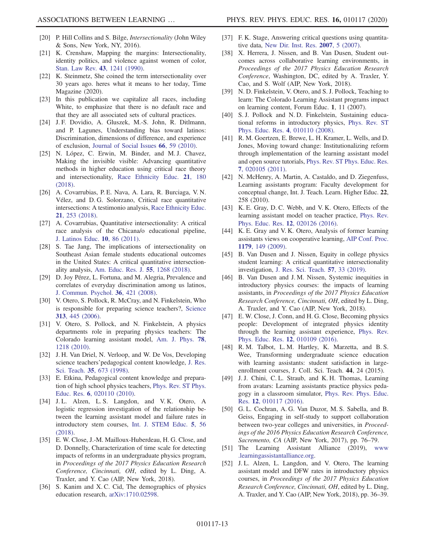- <span id="page-12-0"></span>[20] P. Hill Collins and S. Bilge, Intersectionality (John Wiley & Sons, New York, NY, 2016).
- [21] K. Crenshaw, Mapping the margins: Intersectionality, identity politics, and violence against women of color, [Stan. Law Rev.](https://doi.org/10.2307/1229039) 43, 1241 (1990).
- [22] K. Steinmetz, She coined the term intersectionality over 30 years ago. heres what it means to her today, Time Magazine (2020).
- <span id="page-12-1"></span>[23] In this publication we capitalize all races, including White, to emphasize that there is no default race and that they are all associated sets of cultural practices.
- <span id="page-12-2"></span>[24] J. F. Dovidio, A. Gluszek, M.-S. John, R. Ditlmann, and P. Lagunes, Understanding bias toward latinos: Discrimination, dimensions of difference, and experience of exclusion, [Journal of Social Issues](https://doi.org/10.1111/j.1540-4560.2009.01633.x) 66, 59 (2010).
- <span id="page-12-3"></span>[25] N. López, C. Erwin, M. Binder, and M.J. Chavez, Making the invisible visible: Advancing quantitative methods in higher education using critical race theory and intersectionality, [Race Ethnicity Educ.](https://doi.org/10.1080/13613324.2017.1375185) 21, 180 [\(2018\).](https://doi.org/10.1080/13613324.2017.1375185)
- <span id="page-12-19"></span>[26] A. Covarrubias, P. E. Nava, A. Lara, R. Burciaga, V. N. Vélez, and D. G. Solorzano, Critical race quantitative intersections: A testimonio analysis, [Race Ethnicity Educ.](https://doi.org/10.1080/13613324.2017.1377412) 21[, 253 \(2018\)](https://doi.org/10.1080/13613324.2017.1377412).
- [27] A. Covarrubias, Quantitative intersectionality: A critical race analysis of the Chicana/o educational pipeline, [J. Latinos Educ.](https://doi.org/10.1080/15348431.2011.556519) 10, 86 (2011).
- [28] S. Tae Jang, The implications of intersectionality on Southeast Asian female students educational outcomes in the United States: A critical quantitative intersectionality analysis, [Am. Educ. Res. J.](https://doi.org/10.3102/0002831218777225) 55, 1268 (2018).
- [29] D. Joy Pérez, L. Fortuna, and M. Alegria, Prevalence and correlates of everyday discrimination among us latinos, [J. Commun. Psychol.](https://doi.org/10.1002/jcop.20221) 36, 421 (2008).
- <span id="page-12-4"></span>[30] V. Otero, S. Pollock, R. McCray, and N. Finkelstein, Who is responsible for preparing science teachers?, [Science](https://doi.org/10.1126/science.1129648) 313[, 445 \(2006\)](https://doi.org/10.1126/science.1129648).
- [31] V. Otero, S. Pollock, and N. Finkelstein, A physics departments role in preparing physics teachers: The Colorado learning assistant model, [Am. J. Phys.](https://doi.org/10.1119/1.3471291) 78, [1218 \(2010\).](https://doi.org/10.1119/1.3471291)
- <span id="page-12-5"></span>[32] J. H. Van Driel, N. Verloop, and W. De Vos, Developing science teachers'pedagogical content knowledge, [J. Res.](https://doi.org/10.1002/(SICI)1098-2736(199808)35:6%3C673::AID-TEA5%3E3.0.CO;2-J) Sci. Teach. 35[, 673 \(1998\)](https://doi.org/10.1002/(SICI)1098-2736(199808)35:6%3C673::AID-TEA5%3E3.0.CO;2-J).
- [33] E. Etkina, Pedagogical content knowledge and preparation of high school physics teachers, [Phys. Rev. ST Phys.](https://doi.org/10.1103/PhysRevSTPER.6.020110) Educ. Res. 6[, 020110 \(2010\).](https://doi.org/10.1103/PhysRevSTPER.6.020110)
- <span id="page-12-6"></span>[34] J.L. Alzen, L.S. Langdon, and V.K. Otero, A logistic regression investigation of the relationship between the learning assistant model and failure rates in introductory stem courses, [Int. J. STEM Educ.](https://doi.org/10.1186/s40594-018-0152-1) 5, 56 [\(2018\).](https://doi.org/10.1186/s40594-018-0152-1)
- <span id="page-12-18"></span>[35] E. W. Close, J.-M. Mailloux-Huberdeau, H. G. Close, and D. Donnelly, Characterization of time scale for detecting impacts of reforms in an undergraduate physics program, in Proceedings of the 2017 Physics Education Research Conference, Cincinnati, OH, edited by L. Ding, A. Traxler, and Y. Cao (AIP, New York, 2018).
- <span id="page-12-7"></span>[36] S. Kanim and X. C. Cid, The demographics of physics education research, [arXiv:1710.02598](https://arXiv.org/abs/1710.02598).
- <span id="page-12-8"></span>[37] F. K. Stage, Answering critical questions using quantitative data, [New Dir. Inst. Res.](https://doi.org/10.1002/ir.200) 2007, 5 (2007).
- <span id="page-12-9"></span>[38] X. Herrera, J. Nissen, and B. Van Dusen, Student outcomes across collaborative learning environments, in Proceedings of the 2017 Physics Education Research Conference, Washington, DC, edited by A. Traxler, Y. Cao, and S. Wolf (AIP, New York, 2018).
- [39] N. D. Finkelstein, V. Otero, and S. J. Pollock, Teaching to learn: The Colorado Learning Assistant programs impact on learning content, Forum Educ. 1, 11 (2007).
- <span id="page-12-10"></span>[40] S. J. Pollock and N. D. Finkelstein, Sustaining educational reforms in introductory physics, [Phys. Rev. ST](https://doi.org/10.1103/PhysRevSTPER.4.010110) [Phys. Educ. Res.](https://doi.org/10.1103/PhysRevSTPER.4.010110) 4, 010110 (2008).
- <span id="page-12-11"></span>[41] R. M. Goertzen, E. Brewe, L. H. Kramer, L. Wells, and D. Jones, Moving toward change: Institutionalizing reform through implementation of the learning assistant model and open source tutorials, [Phys. Rev. ST Phys. Educ. Res.](https://doi.org/10.1103/PhysRevSTPER.7.020105) 7[, 020105 \(2011\).](https://doi.org/10.1103/PhysRevSTPER.7.020105)
- [42] N. McHenry, A. Martin, A. Castaldo, and D. Ziegenfuss, Learning assistants program: Faculty development for conceptual change, Int. J. Teach. Learn. Higher Educ. 22, 258 (2010).
- <span id="page-12-12"></span>[43] K. E. Gray, D. C. Webb, and V. K. Otero, Effects of the learning assistant model on teacher practice, [Phys. Rev.](https://doi.org/10.1103/PhysRevPhysEducRes.12.020126) [Phys. Educ. Res.](https://doi.org/10.1103/PhysRevPhysEducRes.12.020126) 12, 020126 (2016).
- [44] K. E. Gray and V. K. Otero, Analysis of former learning assistants views on cooperative learning, [AIP Conf. Proc.](https://doi.org/10.1063/1.3266700) 1179[, 149 \(2009\).](https://doi.org/10.1063/1.3266700)
- <span id="page-12-13"></span>[45] B. Van Dusen and J. Nissen, Equity in college physics student learning: A critical quantitative intersectionality investigation, [J. Res. Sci. Teach.](https://doi.org/10.1002/tea.21584) 57, 33 (2019).
- [46] B. Van Dusen and J. M. Nissen, Systemic inequities in introductory physics courses: the impacts of learning assistants, in Proceedings of the 2017 Physics Education Research Conference, Cincinnati, OH, edited by L. Ding, A. Traxler, and Y. Cao (AIP, New York, 2018).
- <span id="page-12-14"></span>[47] E. W. Close, J. Conn, and H. G. Close, Becoming physics people: Development of integrated physics identity through the learning assistant experience, [Phys. Rev.](https://doi.org/10.1103/PhysRevPhysEducRes.12.010109) [Phys. Educ. Res.](https://doi.org/10.1103/PhysRevPhysEducRes.12.010109) 12, 010109 (2016).
- [48] R. M. Talbot, L. M. Hartley, K. Marzetta, and B. S. Wee, Transforming undergraduate science education with learning assistants: student satisfaction in largeenrollment courses, J. Coll. Sci. Teach. 44, 24 (2015).
- <span id="page-12-15"></span>[49] J. J. Chini, C. L. Straub, and K. H. Thomas, Learning from avatars: Learning assistants practice physics pedagogy in a classroom simulator, [Phys. Rev. Phys. Educ.](https://doi.org/10.1103/PhysRevPhysEducRes.12.010117) Res. 12[, 010117 \(2016\).](https://doi.org/10.1103/PhysRevPhysEducRes.12.010117)
- [50] G. L. Cochran, A. G. Van Duzor, M. S. Sabella, and B. Geiss, Engaging in self-study to support collaboration between two-year colleges and universities, in Proceedings of the 2016 Physics Education Research Conference, Sacremento, CA (AIP, New York, 2017), pp. 76–79.
- <span id="page-12-17"></span><span id="page-12-16"></span>[51] The Learning Assistant Alliance (2019), [www](www.learningassistantalliance.org) [.learningassistantalliance.org](www.learningassistantalliance.org).
- [52] J. L. Alzen, L. Langdon, and V. Otero, The learning assistant model and DFW rates in introductory physics courses, in Proceedings of the 2017 Physics Education Research Conference, Cincinnati, OH, edited by L. Ding, A. Traxler, and Y. Cao (AIP, New York, 2018), pp. 36–39.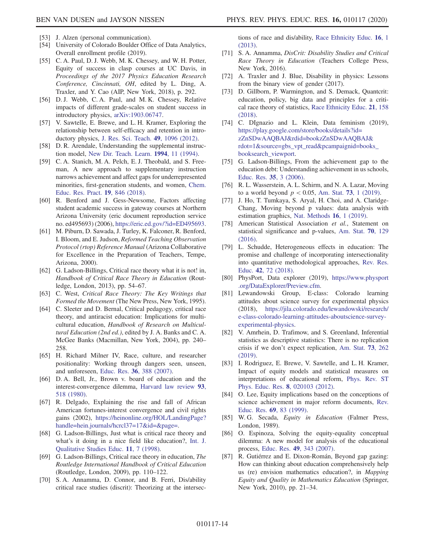- <span id="page-13-0"></span>[53] J. Alzen (personal communication).
- <span id="page-13-1"></span>[54] University of Colorado Boulder Office of Data Analytics, Overall enrollment profile (2019).
- <span id="page-13-2"></span>[55] C. A. Paul, D. J. Webb, M. K. Chessey, and W. H. Potter, Equity of success in clasp courses at UC Davis, in Proceedings of the 2017 Physics Education Research Conference, Cincinnati, OH, edited by L. Ding, A. Traxler, and Y. Cao (AIP, New York, 2018), p. 292.
- <span id="page-13-3"></span>[56] D. J. Webb, C. A. Paul, and M. K. Chessey, Relative impacts of different grade-scales on student success in introductory physics, [arXiv:1903.06747](https://arXiv.org/abs/1903.06747).
- <span id="page-13-4"></span>[57] V. Sawtelle, E. Brewe, and L. H. Kramer, Exploring the relationship between self-efficacy and retention in introductory physics, [J. Res. Sci. Teach.](https://doi.org/10.1002/tea.21050) 49, 1096 (2012).
- <span id="page-13-5"></span>[58] D. R. Arendale, Understanding the supplemental instruction model, [New Dir. Teach. Learn.](https://doi.org/10.1002/tl.37219946004) 1994, 11 (1994).
- <span id="page-13-6"></span>[59] C. A. Stanich, M. A. Pelch, E. J. Theobald, and S. Freeman, A new approach to supplementary instruction narrows achievement and affect gaps for underrepresented minorities, first-generation students, and women, [Chem.](https://doi.org/10.1039/C8RP00044A) [Educ. Res. Pract.](https://doi.org/10.1039/C8RP00044A) 19, 846 (2018).
- <span id="page-13-7"></span>[60] R. Benford and J. Gess-Newsome, Factors affecting student academic success in gateway courses at Northern Arizona University (eric document reproduction service no. ed495693) (2006), [https://eric.ed.gov/?id=ED495693.](https://eric.ed.gov/?id=ED495693)
- <span id="page-13-8"></span>[61] M. Piburn, D. Sawada, J. Turley, K. Falconer, R. Benford, I. Bloom, and E. Judson, Reformed Teaching Observation Protocol (rtop) Reference Manual (Arizona Collaborative for Excellence in the Preparation of Teachers, Tempe, Arizona, 2000).
- <span id="page-13-9"></span>[62] G. Ladson-Billings, Critical race theory what it is not! in, Handbook of Critical Race Theory in Education (Routledge, London, 2013), pp. 54–67.
- [63] C. West, Critical Race Theory: The Key Writings that Formed the Movement (The New Press, New York, 1995).
- [64] C. Sleeter and D. Bernal, Critical pedagogy, critical race theory, and antiracist education: Implications for multicultural education, Handbook of Research on Multicultural Education (2nd ed.), edited by J. A. Banks and C. A. McGee Banks (Macmillan, New York, 2004), pp. 240– 258.
- <span id="page-13-10"></span>[65] H. Richard Milner IV, Race, culture, and researcher positionality: Working through dangers seen, unseen, and unforeseen, Educ. Res. 36[, 388 \(2007\)](https://doi.org/10.3102/0013189X07309471).
- <span id="page-13-25"></span>[66] D. A. Bell, Jr., Brown v. board of education and the interest-convergence dilemma, [Harvard law review](https://doi.org/10.2307/1340546) 93, [518 \(1980\)](https://doi.org/10.2307/1340546).
- <span id="page-13-11"></span>[67] R. Delgado, Explaining the rise and fall of African American fortunes-interest convergence and civil rights gains (2002), [https://heinonline.org/HOL/LandingPage?](https://heinonline.org/HOL/LandingPage?handle=hein.journals/hcrcl37=17&id=&page=) [handle=hein.journals/hcrcl37=17&id=&page=](https://heinonline.org/HOL/LandingPage?handle=hein.journals/hcrcl37=17&id=&page=).
- <span id="page-13-12"></span>[68] G. Ladson-Billings, Just what is critical race theory and what's it doing in a nice field like education?, [Int. J.](https://doi.org/10.1080/095183998236863) [Qualitative Studies Educ.](https://doi.org/10.1080/095183998236863) 11, 7 (1998).
- [69] G. Ladson-Billings, Critical race theory in education, The Routledge International Handbook of Critical Education (Routledge, London, 2009), pp. 110–122.
- <span id="page-13-13"></span>[70] S.A. Annamma, D. Connor, and B. Ferri, Dis/ability critical race studies (discrit): Theorizing at the intersec-

tions of race and dis/ability, [Race Ethnicity Educ.](https://doi.org/10.1080/13613324.2012.730511) 16, 1 [\(2013\).](https://doi.org/10.1080/13613324.2012.730511)

- [71] S. A. Annamma, DisCrit: Disability Studies and Critical Race Theory in Education (Teachers College Press, New York, 2016).
- [72] A. Traxler and J. Blue, Disability in physics: Lessons from the binary view of gender (2017).
- <span id="page-13-15"></span>[73] D. Gillborn, P. Warmington, and S. Demack, Quantcrit: education, policy, big data and principles for a critical race theory of statistics, [Race Ethnicity Educ.](https://doi.org/10.1080/13613324.2017.1377417) 21, 158 [\(2018\).](https://doi.org/10.1080/13613324.2017.1377417)
- <span id="page-13-14"></span>[74] C. DIgnazio and L. Klein, Data feminism (2019), [https://play.google.com/store/books/details?id=](https://play.google.com/store/books/details?id=zZnSDwAAQBAJ&rdid=bookzZnSDwAAQBAJ&rdot=1&source=gbs_vpt_read&pcampaignid=books_booksearch_viewport) [zZnSDwAAQBAJ&rdid=bookzZnSDwAAQBAJ&](https://play.google.com/store/books/details?id=zZnSDwAAQBAJ&rdid=bookzZnSDwAAQBAJ&rdot=1&source=gbs_vpt_read&pcampaignid=books_booksearch_viewport) [rdot=1&source=gbs\\_vpt\\_read&pcampaignid=books\\_](https://play.google.com/store/books/details?id=zZnSDwAAQBAJ&rdid=bookzZnSDwAAQBAJ&rdot=1&source=gbs_vpt_read&pcampaignid=books_booksearch_viewport) [booksearch\\_viewport.](https://play.google.com/store/books/details?id=zZnSDwAAQBAJ&rdid=bookzZnSDwAAQBAJ&rdot=1&source=gbs_vpt_read&pcampaignid=books_booksearch_viewport)
- <span id="page-13-16"></span>[75] G. Ladson-Billings, From the achievement gap to the education debt: Understanding achievement in us schools, [Educ. Res.](https://doi.org/10.3102/0013189X035007003) 35, 3 (2006).
- <span id="page-13-17"></span>[76] R. L. Wasserstein, A. L. Schirm, and N. A. Lazar, Moving to a world beyond  $p < 0.05$ , Am. Stat. 73[, 1 \(2019\)](https://doi.org/10.1080/00031305.2019.1583913).
- [77] J. Ho, T. Tumkaya, S. Aryal, H. Choi, and A. Claridge-Chang, Moving beyond p values: data analysis with estimation graphics, [Nat. Methods](https://doi.org/10.1038/s41592-019-0470-3) 16, 1 (2019).
- <span id="page-13-23"></span>[78] American Statistical Association et al., Statement on statistical significance and p-values, [Am. Stat.](https://doi.org/10.1080/00031305.2016.1154108) 70, 129 [\(2016\).](https://doi.org/10.1080/00031305.2016.1154108)
- <span id="page-13-24"></span>[79] L. Schudde, Heterogeneous effects in education: The promise and challenge of incorporating intersectionality into quantitative methodological approaches, [Rev. Res.](https://doi.org/10.3102/0091732X18759040) Educ. 42[, 72 \(2018\).](https://doi.org/10.3102/0091732X18759040)
- [80] PhysPort, Data explorer (2019), [https://www.physport](https://www.physport.org/DataExplorer/Preview.cfm) [.org/DataExplorer/Preview.cfm.](https://www.physport.org/DataExplorer/Preview.cfm)
- [81] Lewandowski Group, E-class: Colorado learning attitudes about science survey for experimental physics (2018), [https://jila.colorado.edu/lewandowski/research/](https://jila.colorado.edu/lewandowski/research/e-class-colorado-learning-attitudes-aboutscience-survey-experimental-physics) [e-class-colorado-learning-attitudes-aboutscience-survey](https://jila.colorado.edu/lewandowski/research/e-class-colorado-learning-attitudes-aboutscience-survey-experimental-physics)[experimental-physics.](https://jila.colorado.edu/lewandowski/research/e-class-colorado-learning-attitudes-aboutscience-survey-experimental-physics)
- <span id="page-13-18"></span>[82] V. Amrhein, D. Trafimow, and S. Greenland, Inferential statistics as descriptive statistics: There is no replication crisis if we don't expect replication, [Am. Stat.](https://doi.org/10.1080/00031305.2018.1543137) 73, 262 [\(2019\).](https://doi.org/10.1080/00031305.2018.1543137)
- <span id="page-13-19"></span>[83] I. Rodriguez, E. Brewe, V. Sawtelle, and L. H. Kramer, Impact of equity models and statistical measures on interpretations of educational reform, [Phys. Rev. ST](https://doi.org/10.1103/PhysRevSTPER.8.020103) [Phys. Educ. Res.](https://doi.org/10.1103/PhysRevSTPER.8.020103) 8, 020103 (2012).
- <span id="page-13-20"></span>[84] O. Lee, Equity implications based on the conceptions of science achievement in major reform documents, [Rev.](https://doi.org/10.3102/00346543069001083) Educ. Res. 69[, 83 \(1999\).](https://doi.org/10.3102/00346543069001083)
- <span id="page-13-21"></span>[85] W. G. Secada, Equity in Education (Falmer Press, London, 1989).
- [86] O. Espinoza, Solving the equity-equality conceptual dilemma: A new model for analysis of the educational process, Educ. Res. 49[, 343 \(2007\)](https://doi.org/10.1080/00131880701717198).
- <span id="page-13-22"></span>[87] R. Gutiérrez and E. Dixon-Román, Beyond gap gazing: How can thinking about education comprehensively help us (re) envision mathematics education?, in Mapping Equity and Quality in Mathematics Education (Springer, New York, 2010), pp. 21–34.